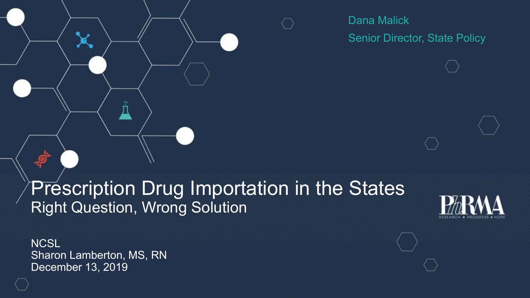Dana Malick Senior Director, State Policy

### Prescription Drug Importation in the States Right Question, Wrong Solution



**NCSL** Sharon Lamberton, MS, RN December 13, 2019

÷,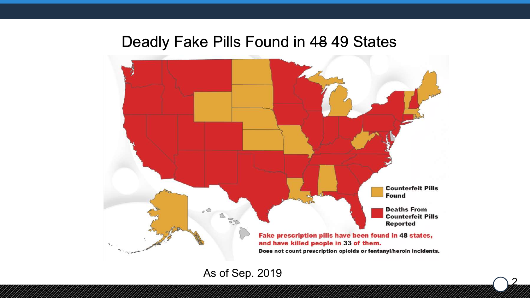### Deadly Fake Pills Found in 48 49 States



2

As of Sep. 2019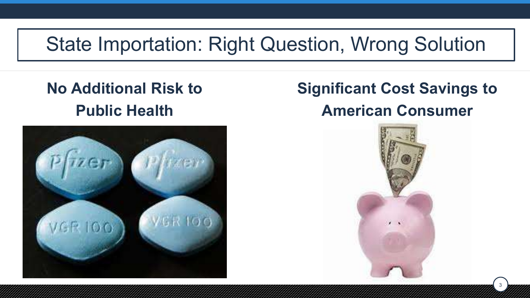# State Importation: Right Question, Wrong Solution

### **No Additional Risk to Public Health**



### **Significant Cost Savings to American Consumer**

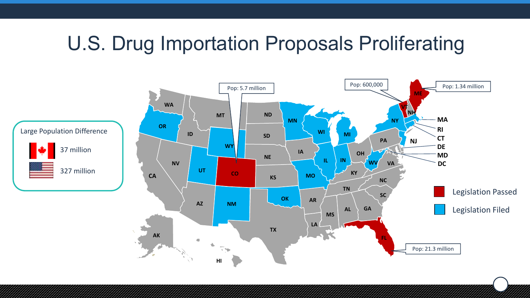# U.S. Drug Importation Proposals Proliferating

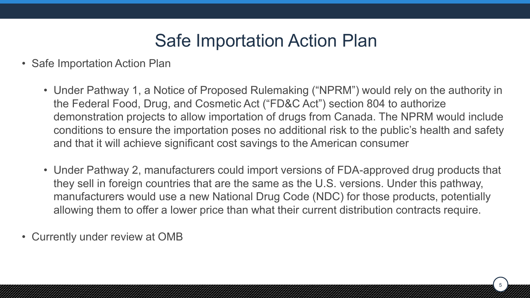### Safe Importation Action Plan

- Safe Importation Action Plan
	- Under Pathway 1, a Notice of Proposed Rulemaking ("NPRM") would rely on the authority in the Federal Food, Drug, and Cosmetic Act ("FD&C Act") section 804 to authorize demonstration projects to allow importation of drugs from Canada. The NPRM would include conditions to ensure the importation poses no additional risk to the public's health and safety and that it will achieve significant cost savings to the American consumer
	- Under Pathway 2, manufacturers could import versions of FDA-approved drug products that they sell in foreign countries that are the same as the U.S. versions. Under this pathway, manufacturers would use a new National Drug Code (NDC) for those products, potentially allowing them to offer a lower price than what their current distribution contracts require.

5

• Currently under review at OMB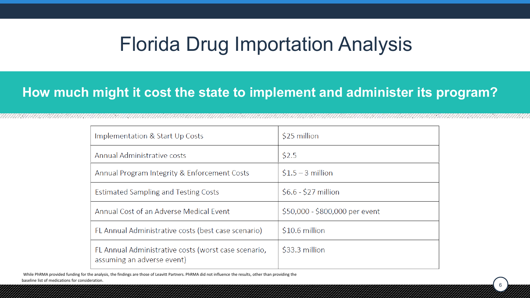## Florida Drug Importation Analysis

#### **How much might it cost the state to implement and administer its program?**

| Implementation & Start Up Costs                                                    | \$25 million                   |  |  |
|------------------------------------------------------------------------------------|--------------------------------|--|--|
| Annual Administrative costs                                                        | \$2.5                          |  |  |
| Annual Program Integrity & Enforcement Costs                                       | $$1.5 - 3$ million             |  |  |
| <b>Estimated Sampling and Testing Costs</b>                                        | $$6.6 - $27$ million           |  |  |
| Annual Cost of an Adverse Medical Event                                            | \$50,000 - \$800,000 per event |  |  |
| FL Annual Administrative costs (best case scenario)                                | \$10.6 million                 |  |  |
| FL Annual Administrative costs (worst case scenario,<br>assuming an adverse event) | \$33.3 million                 |  |  |

6

While PhRMA provided funding for the analysis, the findings are those of Leavitt Partners. PhRMA did not influence the results, other than providing the baseline list of medications for consideration.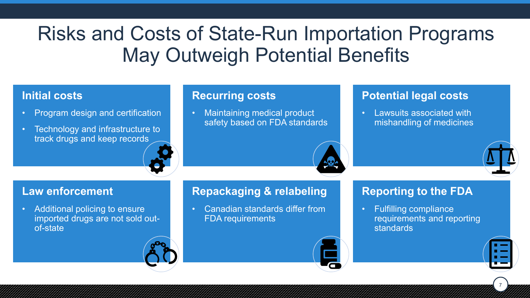# Risks and Costs of State-Run Importation Programs May Outweigh Potential Benefits

#### **Initial costs**

- Program design and certification
- Technology and infrastructure to track drugs and keep records

#### **Recurring costs**

• Maintaining medical product safety based on FDA standards

#### **Potential legal costs**

• Lawsuits associated with mishandling of medicines

#### **Law enforcement**

• Additional policing to ensure imported drugs are not sold outof-state

#### **Repackaging & relabeling**

• Canadian standards differ from FDA requirements

#### **Reporting to the FDA**

• Fulfilling compliance requirements and reporting standards



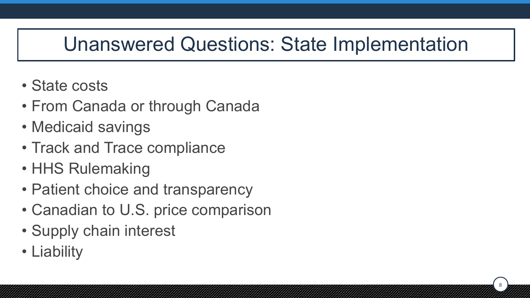# Unanswered Questions: State Implementation

- State costs
- From Canada or through Canada
- Medicaid savings
- Track and Trace compliance
- HHS Rulemaking
- Patient choice and transparency
- Canadian to U.S. price comparison
- Supply chain interest
- Liability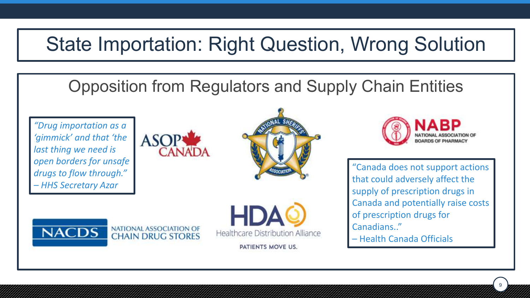# State Importation: Right Question, Wrong Solution

### Opposition from Regulators and Supply Chain Entities

*"Drug importation as a 'gimmick' and that 'the last thing we need is open borders for unsafe drugs to flow through." – HHS Secretary Azar*









PATIENTS MOVE US.



"Canada does not support actions that could adversely affect the supply of prescription drugs in Canada and potentially raise costs of prescription drugs for Canadians.."

9

– Health Canada Officials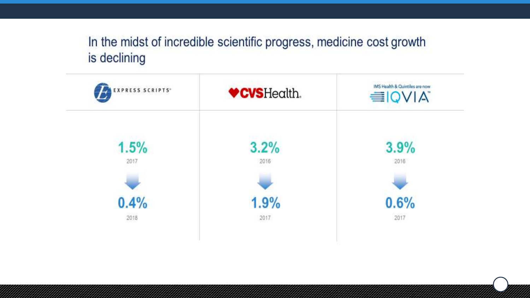#### In the midst of incredible scientific progress, medicine cost growth is declining

| EXPRESS SCRIPTS <sup>*</sup> | <b>♥CVSHealth.</b> | IMS Health & Quintiles are now<br><b>EIQVIA</b> |
|------------------------------|--------------------|-------------------------------------------------|
| 1.5%<br>2017                 | 3.2%<br>2016       | 3.9%<br>2016                                    |
|                              |                    |                                                 |
| 0.4%                         | 1.9%<br>2017       | 0.6%<br>2017                                    |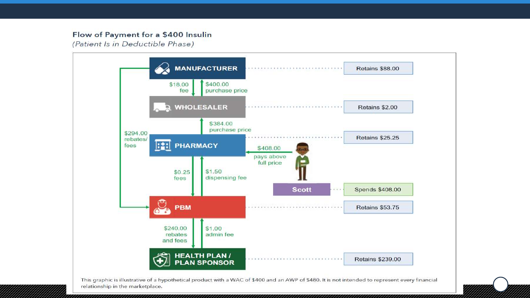#### Flow of Payment for a \$400 Insulin

(Patient Is in Deductible Phase)

,,,,,,,,,,,,,,,,,



This graphic is illustrative of a hypothetical product with a WAC of \$400 and an AWP of \$480. It is not intended to represent every financial relationship in the marketplace.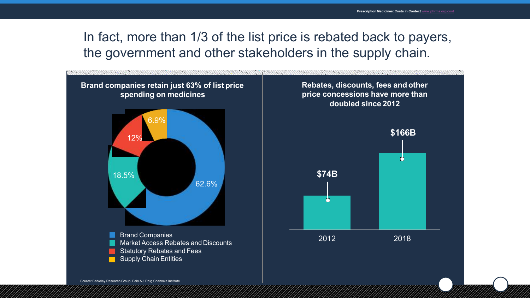#### In fact, more than 1/3 of the list price is rebated back to payers, the government and other stakeholders in the supply chain.

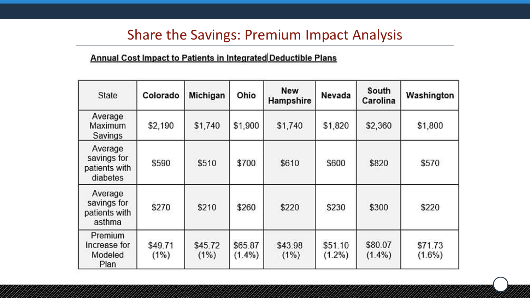### Share the Savings: Premium Impact Analysis

#### Annual Cost Impact to Patients in Integrated Deductible Plans

| State                                               | Colorado        | Michigan        | Ohio                 | <b>New</b><br>Hampshire | Nevada               | South<br>Carolina    | Washington           |
|-----------------------------------------------------|-----------------|-----------------|----------------------|-------------------------|----------------------|----------------------|----------------------|
| Average<br>Maximum<br>Savings                       | \$2,190         | \$1,740         | \$1,900              | \$1,740                 | \$1,820              | \$2,360              | \$1,800              |
| Average<br>savings for<br>patients with<br>diabetes | \$590           | \$510           | \$700                | \$610                   | \$600                | \$820                | \$570                |
| Average<br>savings for<br>patients with<br>asthma   | \$270           | \$210           | \$260                | \$220                   | \$230                | \$300                | \$220                |
| Premium<br>Increase for<br>Modeled<br>Plan          | \$49.71<br>(1%) | \$45.72<br>(1%) | \$65.87<br>$(1.4\%)$ | \$43.98<br>(1%)         | \$51.10<br>$(1.2\%)$ | \$80.07<br>$(1.4\%)$ | \$71.73<br>$(1.6\%)$ |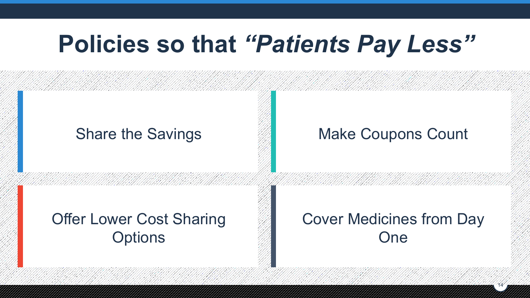# **Policies so that** *"Patients Pay Less"*

#### Share the Savings **Make Coupons Count**

### Offer Lower Cost Sharing **Options**

### Cover Medicines from Day One